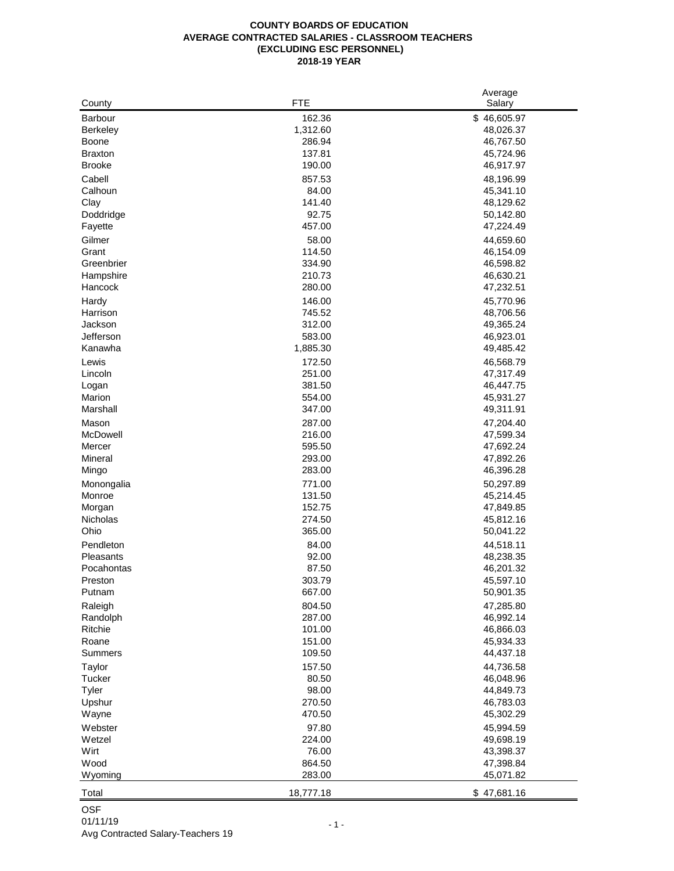|                 | <b>FTE</b> | Average     |
|-----------------|------------|-------------|
| County          |            | Salary      |
| Barbour         | 162.36     | \$46,605.97 |
| <b>Berkeley</b> | 1,312.60   | 48,026.37   |
| Boone           | 286.94     | 46,767.50   |
| <b>Braxton</b>  | 137.81     | 45,724.96   |
| <b>Brooke</b>   | 190.00     | 46,917.97   |
| Cabell          | 857.53     | 48,196.99   |
| Calhoun         | 84.00      | 45,341.10   |
| Clay            | 141.40     | 48,129.62   |
| Doddridge       | 92.75      | 50,142.80   |
| Fayette         | 457.00     | 47,224.49   |
| Gilmer          | 58.00      | 44,659.60   |
| Grant           | 114.50     | 46,154.09   |
| Greenbrier      | 334.90     | 46,598.82   |
| Hampshire       | 210.73     | 46,630.21   |
| Hancock         | 280.00     | 47,232.51   |
| Hardy           | 146.00     | 45,770.96   |
| Harrison        | 745.52     | 48,706.56   |
| Jackson         | 312.00     | 49,365.24   |
| Jefferson       | 583.00     | 46,923.01   |
| Kanawha         | 1,885.30   | 49,485.42   |
| Lewis           | 172.50     | 46,568.79   |
| Lincoln         | 251.00     | 47,317.49   |
| Logan           | 381.50     | 46,447.75   |
| Marion          | 554.00     | 45,931.27   |
| Marshall        | 347.00     | 49,311.91   |
| Mason           | 287.00     | 47,204.40   |
| McDowell        | 216.00     | 47,599.34   |
| Mercer          | 595.50     | 47,692.24   |
| Mineral         | 293.00     | 47,892.26   |
| Mingo           | 283.00     | 46,396.28   |
| Monongalia      | 771.00     | 50,297.89   |
| Monroe          | 131.50     | 45,214.45   |
| Morgan          | 152.75     | 47,849.85   |
| Nicholas        | 274.50     | 45,812.16   |
| Ohio            | 365.00     | 50,041.22   |
| Pendleton       |            |             |
|                 | 84.00      | 44,518.11   |
| Pleasants       | 92.00      | 48,238.35   |
| Pocahontas      | 87.50      | 46,201.32   |
| Preston         | 303.79     | 45,597.10   |
| Putnam          | 667.00     | 50,901.35   |
| Raleigh         | 804.50     | 47,285.80   |
| Randolph        | 287.00     | 46,992.14   |
| Ritchie         | 101.00     | 46,866.03   |
| Roane           | 151.00     | 45,934.33   |
| <b>Summers</b>  | 109.50     | 44,437.18   |
| Taylor          | 157.50     | 44,736.58   |
| Tucker          | 80.50      | 46,048.96   |
| Tyler           | 98.00      | 44,849.73   |
| Upshur          | 270.50     | 46,783.03   |
| Wayne           | 470.50     | 45,302.29   |
| Webster         | 97.80      | 45,994.59   |
| Wetzel          | 224.00     | 49,698.19   |
| Wirt            | 76.00      | 43,398.37   |
| Wood            | 864.50     | 47,398.84   |
| Wyoming         | 283.00     | 45,071.82   |
| Total           | 18,777.18  | \$47,681.16 |
|                 |            |             |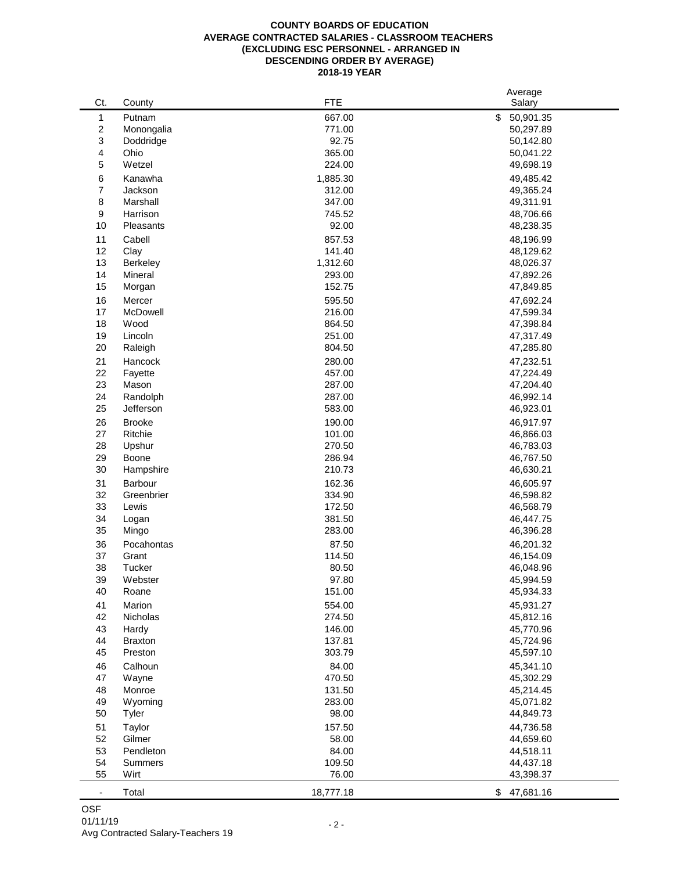#### **COUNTY BOARDS OF EDUCATION AVERAGE CONTRACTED SALARIES - CLASSROOM TEACHERS (EXCLUDING ESC PERSONNEL - ARRANGED IN DESCENDING ORDER BY AVERAGE) 2018-19 YEAR**

|                          |                |           | Average         |
|--------------------------|----------------|-----------|-----------------|
| Ct.                      | County         | FTE       | Salary          |
| 1                        | Putnam         | 667.00    | \$<br>50,901.35 |
| 2                        | Monongalia     | 771.00    | 50,297.89       |
| 3                        | Doddridge      | 92.75     | 50,142.80       |
| 4                        | Ohio           | 365.00    | 50,041.22       |
| 5                        | Wetzel         | 224.00    | 49,698.19       |
| 6                        | Kanawha        | 1,885.30  | 49,485.42       |
| 7                        | Jackson        | 312.00    | 49,365.24       |
| 8                        | Marshall       | 347.00    | 49,311.91       |
| 9                        | Harrison       | 745.52    | 48,706.66       |
| 10                       | Pleasants      | 92.00     | 48,238.35       |
|                          |                |           |                 |
| 11                       | Cabell         | 857.53    | 48,196.99       |
| 12                       | Clay           | 141.40    | 48,129.62       |
| 13                       | Berkeley       | 1,312.60  | 48,026.37       |
| 14                       | Mineral        | 293.00    | 47,892.26       |
| 15                       | Morgan         | 152.75    | 47,849.85       |
| 16                       | Mercer         | 595.50    | 47,692.24       |
| 17                       | McDowell       | 216.00    | 47,599.34       |
| 18                       | Wood           | 864.50    | 47,398.84       |
| 19                       | Lincoln        | 251.00    | 47,317.49       |
| 20                       | Raleigh        | 804.50    | 47,285.80       |
| 21                       | Hancock        | 280.00    | 47,232.51       |
| 22                       | Fayette        | 457.00    | 47,224.49       |
| 23                       | Mason          | 287.00    | 47,204.40       |
| 24                       | Randolph       | 287.00    | 46,992.14       |
| 25                       | Jefferson      | 583.00    | 46,923.01       |
|                          |                |           |                 |
| 26                       | <b>Brooke</b>  | 190.00    | 46,917.97       |
| 27                       | Ritchie        | 101.00    | 46,866.03       |
| 28                       | Upshur         | 270.50    | 46,783.03       |
| 29                       | Boone          | 286.94    | 46,767.50       |
| 30                       | Hampshire      | 210.73    | 46,630.21       |
| 31                       | Barbour        | 162.36    | 46,605.97       |
| 32                       | Greenbrier     | 334.90    | 46,598.82       |
| 33                       | Lewis          | 172.50    | 46,568.79       |
| 34                       | Logan          | 381.50    | 46,447.75       |
| 35                       | Mingo          | 283.00    | 46,396.28       |
| 36                       | Pocahontas     | 87.50     | 46,201.32       |
| 37                       | Grant          | 114.50    | 46,154.09       |
| 38                       | Tucker         | 80.50     | 46,048.96       |
| 39                       | Webster        | 97.80     | 45,994.59       |
| 40                       | Roane          | 151.00    | 45,934.33       |
|                          | Marion         | 554.00    | 45,931.27       |
| 41                       |                |           |                 |
| 42                       | Nicholas       | 274.50    | 45,812.16       |
| 43                       | Hardy          | 146.00    | 45,770.96       |
| 44                       | <b>Braxton</b> | 137.81    | 45,724.96       |
| 45                       | Preston        | 303.79    | 45,597.10       |
| 46                       | Calhoun        | 84.00     | 45,341.10       |
| 47                       | Wayne          | 470.50    | 45,302.29       |
| 48                       | Monroe         | 131.50    | 45,214.45       |
| 49                       | Wyoming        | 283.00    | 45,071.82       |
| 50                       | Tyler          | 98.00     | 44,849.73       |
| 51                       | Taylor         | 157.50    | 44,736.58       |
| 52                       | Gilmer         | 58.00     | 44,659.60       |
| 53                       | Pendleton      | 84.00     | 44,518.11       |
| 54                       | Summers        | 109.50    | 44,437.18       |
| 55                       | Wirt           | 76.00     | 43,398.37       |
|                          |                |           |                 |
| $\overline{\phantom{a}}$ | Total          | 18,777.18 | \$<br>47,681.16 |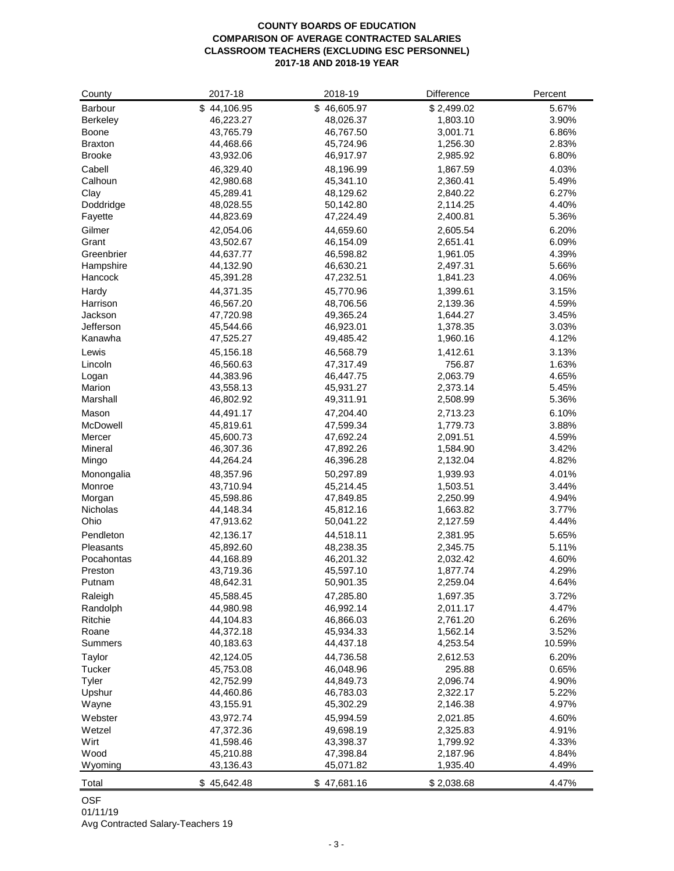#### **COUNTY BOARDS OF EDUCATION COMPARISON OF AVERAGE CONTRACTED SALARIES CLASSROOM TEACHERS (EXCLUDING ESC PERSONNEL) 2017-18 AND 2018-19 YEAR**

| County          | 2017-18                | 2018-19     | Difference           | Percent |
|-----------------|------------------------|-------------|----------------------|---------|
| Barbour         | \$44,106.95            | \$46,605.97 | \$2,499.02           | 5.67%   |
| <b>Berkeley</b> | 46,223.27              | 48,026.37   | 1,803.10             | 3.90%   |
| <b>Boone</b>    | 43,765.79              | 46,767.50   | 3,001.71             | 6.86%   |
| <b>Braxton</b>  | 44,468.66              | 45,724.96   | 1,256.30             | 2.83%   |
| <b>Brooke</b>   | 43,932.06              | 46,917.97   | 2,985.92             | 6.80%   |
| Cabell          | 46,329.40              | 48,196.99   | 1,867.59             | 4.03%   |
| Calhoun         | 42,980.68              | 45,341.10   | 2,360.41             | 5.49%   |
| Clay            | 45,289.41              | 48,129.62   | 2,840.22             | 6.27%   |
| Doddridge       | 48,028.55              | 50,142.80   | 2,114.25             | 4.40%   |
| Fayette         | 44,823.69              | 47,224.49   | 2,400.81             | 5.36%   |
| Gilmer          | 42,054.06              | 44,659.60   | 2,605.54             | 6.20%   |
| Grant           | 43,502.67              | 46,154.09   | 2,651.41             | 6.09%   |
| Greenbrier      |                        | 46,598.82   |                      | 4.39%   |
| Hampshire       | 44,637.77<br>44,132.90 | 46,630.21   | 1,961.05<br>2,497.31 | 5.66%   |
| Hancock         |                        | 47,232.51   |                      | 4.06%   |
|                 | 45,391.28              |             | 1,841.23             |         |
| Hardy           | 44,371.35              | 45,770.96   | 1,399.61             | 3.15%   |
| Harrison        | 46,567.20              | 48,706.56   | 2,139.36             | 4.59%   |
| Jackson         | 47,720.98              | 49,365.24   | 1,644.27             | 3.45%   |
| Jefferson       | 45,544.66              | 46,923.01   | 1,378.35             | 3.03%   |
| Kanawha         | 47,525.27              | 49,485.42   | 1,960.16             | 4.12%   |
| Lewis           | 45,156.18              | 46,568.79   | 1,412.61             | 3.13%   |
| Lincoln         | 46,560.63              | 47,317.49   | 756.87               | 1.63%   |
| Logan           | 44,383.96              | 46,447.75   | 2,063.79             | 4.65%   |
| Marion          | 43,558.13              | 45,931.27   | 2,373.14             | 5.45%   |
| Marshall        | 46,802.92              | 49,311.91   | 2,508.99             | 5.36%   |
| Mason           | 44,491.17              | 47,204.40   | 2,713.23             | 6.10%   |
| McDowell        | 45,819.61              | 47,599.34   | 1,779.73             | 3.88%   |
| Mercer          | 45,600.73              | 47,692.24   | 2,091.51             | 4.59%   |
| Mineral         | 46,307.36              | 47,892.26   | 1,584.90             | 3.42%   |
| Mingo           | 44,264.24              | 46,396.28   | 2,132.04             | 4.82%   |
| Monongalia      | 48,357.96              | 50,297.89   | 1,939.93             | 4.01%   |
| Monroe          | 43,710.94              | 45,214.45   | 1,503.51             | 3.44%   |
| Morgan          | 45,598.86              | 47,849.85   | 2,250.99             | 4.94%   |
| Nicholas        | 44,148.34              | 45,812.16   | 1,663.82             | 3.77%   |
| Ohio            | 47,913.62              | 50,041.22   | 2,127.59             | 4.44%   |
| Pendleton       | 42,136.17              | 44,518.11   | 2,381.95             | 5.65%   |
| Pleasants       | 45,892.60              | 48,238.35   | 2,345.75             | 5.11%   |
| Pocahontas      | 44,168.89              | 46,201.32   | 2,032.42             | 4.60%   |
| Preston         | 43,719.36              | 45,597.10   | 1,877.74             | 4.29%   |
| Putnam          | 48,642.31              | 50,901.35   | 2,259.04             | 4.64%   |
|                 |                        |             |                      |         |
| Raleigh         | 45,588.45              | 47,285.80   | 1,697.35             | 3.72%   |
| Randolph        | 44,980.98              | 46,992.14   | 2,011.17             | 4.47%   |
| Ritchie         | 44,104.83              | 46,866.03   | 2,761.20             | 6.26%   |
| Roane           | 44,372.18              | 45,934.33   | 1,562.14             | 3.52%   |
| Summers         | 40,183.63              | 44,437.18   | 4,253.54             | 10.59%  |
| Taylor          | 42,124.05              | 44,736.58   | 2,612.53             | 6.20%   |
| Tucker          | 45,753.08              | 46,048.96   | 295.88               | 0.65%   |
| Tyler           | 42,752.99              | 44,849.73   | 2,096.74             | 4.90%   |
| Upshur          | 44,460.86              | 46,783.03   | 2,322.17             | 5.22%   |
| Wayne           | 43,155.91              | 45,302.29   | 2,146.38             | 4.97%   |
| Webster         | 43,972.74              | 45,994.59   | 2,021.85             | 4.60%   |
| Wetzel          | 47,372.36              | 49,698.19   | 2,325.83             | 4.91%   |
| Wirt            | 41,598.46              | 43,398.37   | 1,799.92             | 4.33%   |
| Wood            | 45,210.88              | 47,398.84   | 2,187.96             | 4.84%   |
| Wyoming         | 43,136.43              | 45,071.82   | 1,935.40             | 4.49%   |
| Total           | \$45,642.48            | \$47,681.16 | \$2,038.68           | 4.47%   |
|                 |                        |             |                      |         |

### OSF

01/11/19 Avg Contracted Salary-Teachers 19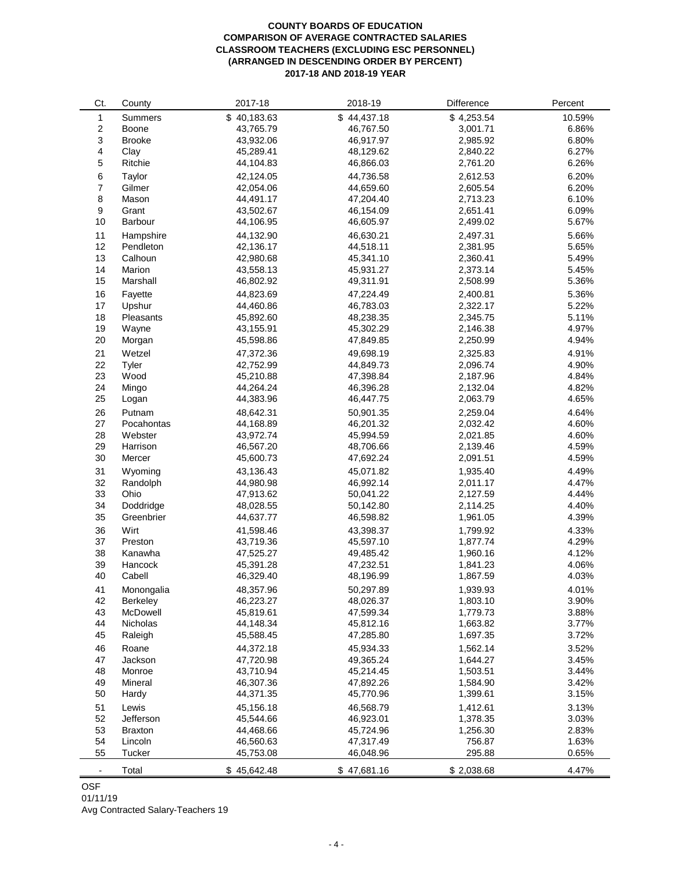#### **COUNTY BOARDS OF EDUCATION COMPARISON OF AVERAGE CONTRACTED SALARIES CLASSROOM TEACHERS (EXCLUDING ESC PERSONNEL) (ARRANGED IN DESCENDING ORDER BY PERCENT) 2017-18 AND 2018-19 YEAR**

| Ct.              | County                      | 2017-18                | 2018-19                | Difference           | Percent        |
|------------------|-----------------------------|------------------------|------------------------|----------------------|----------------|
| 1                | Summers                     | \$40,183.63            | \$44,437.18            | \$4,253.54           | 10.59%         |
| $\sqrt{2}$       | Boone                       | 43.765.79              | 46,767.50              | 3,001.71             | 6.86%          |
| 3                | <b>Brooke</b>               | 43,932.06              | 46,917.97              | 2,985.92             | 6.80%          |
| 4                | Clay                        | 45,289.41              | 48,129.62              | 2,840.22             | 6.27%          |
| 5                | Ritchie                     | 44,104.83              | 46,866.03              | 2,761.20             | 6.26%          |
| 6                | Taylor                      | 42,124.05              | 44,736.58              | 2,612.53             | 6.20%          |
| $\boldsymbol{7}$ | Gilmer                      | 42,054.06              | 44,659.60              | 2,605.54             | 6.20%          |
| 8                | Mason                       | 44,491.17              | 47,204.40              | 2,713.23             | 6.10%          |
| $\boldsymbol{9}$ | Grant                       | 43,502.67              | 46,154.09              | 2,651.41             | 6.09%          |
| 10               | Barbour                     | 44,106.95              | 46,605.97              | 2,499.02             | 5.67%          |
|                  |                             |                        |                        |                      |                |
| 11               | Hampshire                   | 44,132.90              | 46,630.21              | 2,497.31             | 5.66%          |
| 12               | Pendleton                   | 42,136.17              | 44,518.11              | 2,381.95             | 5.65%          |
| 13               | Calhoun                     | 42,980.68              | 45,341.10              | 2,360.41             | 5.49%          |
| 14               | Marion                      | 43,558.13              | 45,931.27              | 2,373.14             | 5.45%          |
| 15               | Marshall                    | 46,802.92              | 49,311.91              | 2,508.99             | 5.36%          |
| 16               | Fayette                     | 44,823.69              | 47,224.49              | 2,400.81             | 5.36%          |
| 17               | Upshur                      | 44,460.86              | 46,783.03              | 2,322.17             | 5.22%          |
| 18               | Pleasants                   | 45,892.60              | 48,238.35              | 2,345.75             | 5.11%          |
| 19               | Wayne                       | 43,155.91              | 45,302.29              | 2,146.38             | 4.97%          |
| 20               | Morgan                      | 45,598.86              | 47,849.85              | 2,250.99             | 4.94%          |
| 21               | Wetzel                      | 47,372.36              | 49.698.19              | 2,325.83             | 4.91%          |
| 22               | Tyler                       | 42,752.99              | 44.849.73              | 2,096.74             | 4.90%          |
| 23               | Wood                        | 45,210.88              | 47,398.84              | 2,187.96             | 4.84%          |
| 24               | Mingo                       | 44,264.24              | 46,396.28              | 2,132.04             | 4.82%          |
| 25               | Logan                       | 44,383.96              | 46,447.75              | 2,063.79             | 4.65%          |
| 26               | Putnam                      | 48,642.31              | 50,901.35              | 2,259.04             | 4.64%          |
| 27               | Pocahontas                  | 44,168.89              | 46,201.32              | 2,032.42             | 4.60%          |
| 28               | Webster                     | 43,972.74              | 45,994.59              | 2,021.85             | 4.60%          |
| 29               | Harrison                    | 46,567.20              | 48,706.66              | 2,139.46             | 4.59%          |
| 30               | Mercer                      | 45,600.73              | 47,692.24              | 2,091.51             | 4.59%          |
| 31               | Wyoming                     | 43,136.43              | 45,071.82              | 1,935.40             | 4.49%          |
| 32               | Randolph                    | 44,980.98              | 46,992.14              | 2,011.17             | 4.47%          |
| 33               | Ohio                        | 47,913.62              | 50,041.22              | 2,127.59             | 4.44%          |
| 34               | Doddridge                   | 48,028.55              | 50,142.80              | 2,114.25             | 4.40%          |
| 35               | Greenbrier                  | 44,637.77              | 46,598.82              | 1,961.05             | 4.39%          |
| 36               | Wirt                        | 41.598.46              | 43.398.37              | 1,799.92             | 4.33%          |
| 37               | Preston                     | 43,719.36              | 45,597.10              | 1,877.74             | 4.29%          |
| 38               | Kanawha                     | 47,525.27              | 49,485.42              | 1,960.16             | 4.12%          |
| 39               | Hancock                     | 45,391.28              | 47,232.51              | 1,841.23             | 4.06%          |
| 40               | Cabell                      | 46,329.40              | 48,196.99              | 1,867.59             | 4.03%          |
| 41               | Monongalia                  | 48,357.96              | 50,297.89              | 1,939.93             | 4.01%          |
| 42               | Berkeley                    | 46,223.27              |                        |                      |                |
| 43               | McDowell                    | 45,819.61              | 48,026.37<br>47,599.34 | 1,803.10<br>1,779.73 | 3.90%<br>3.88% |
| 44               | Nicholas                    | 44,148.34              | 45,812.16              | 1,663.82             | 3.77%          |
| 45               | Raleigh                     | 45,588.45              | 47,285.80              | 1,697.35             | 3.72%          |
|                  |                             |                        | 45,934.33              |                      |                |
| 46               | Roane                       | 44,372.18              |                        | 1,562.14             | 3.52%          |
| 47               | Jackson                     | 47,720.98              | 49,365.24              | 1,644.27             | 3.45%<br>3.44% |
| 48<br>49         | Monroe<br>Mineral           | 43,710.94<br>46,307.36 | 45,214.45<br>47,892.26 | 1,503.51<br>1,584.90 | 3.42%          |
| 50               | Hardy                       | 44,371.35              | 45,770.96              | 1,399.61             | 3.15%          |
|                  |                             |                        |                        |                      |                |
| 51               | Lewis                       | 45,156.18              | 46,568.79              | 1,412.61             | 3.13%          |
| 52<br>53         | Jefferson<br><b>Braxton</b> | 45,544.66<br>44,468.66 | 46,923.01<br>45,724.96 | 1,378.35<br>1,256.30 | 3.03%<br>2.83% |
| 54               | Lincoln                     | 46,560.63              | 47,317.49              | 756.87               | 1.63%          |
| 55               | Tucker                      | 45,753.08              | 46,048.96              | 295.88               | 0.65%          |
|                  |                             |                        |                        |                      |                |
| $\blacksquare$   | Total                       | \$45,642.48            | \$47,681.16            | \$2,038.68           | 4.47%          |

OSF Avg Contracted Salary-Teachers 19 01/11/19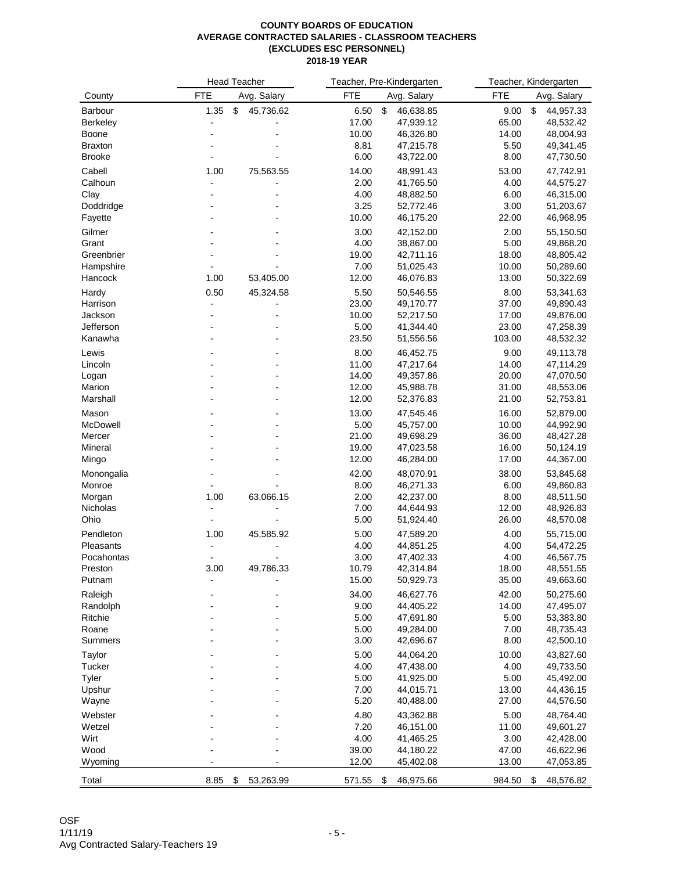|                      |            | <b>Head Teacher</b> |               | Teacher, Pre-Kindergarten |               | Teacher, Kindergarten  |
|----------------------|------------|---------------------|---------------|---------------------------|---------------|------------------------|
| County               | <b>FTE</b> | Avg. Salary         | <b>FTE</b>    | Avg. Salary               | <b>FTE</b>    | Avg. Salary            |
| Barbour              | 1.35       | 45,736.62<br>\$     | 6.50          | \$<br>46,638.85           | 9.00          | \$<br>44,957.33        |
| Berkeley             |            |                     | 17.00         | 47,939.12                 | 65.00         | 48,532.42              |
| Boone                |            |                     | 10.00         | 46,326.80                 | 14.00         | 48,004.93              |
| <b>Braxton</b>       |            |                     | 8.81          | 47,215.78                 | 5.50          | 49,341.45              |
| <b>Brooke</b>        |            |                     | 6.00          | 43,722.00                 | 8.00          | 47,730.50              |
| Cabell               | 1.00       | 75,563.55           | 14.00         | 48,991.43                 | 53.00         | 47,742.91              |
| Calhoun              |            |                     | 2.00          | 41,765.50                 | 4.00          | 44,575.27              |
| Clay                 |            |                     | 4.00          | 48,882.50                 | 6.00          | 46,315.00              |
| Doddridge            |            |                     | 3.25          | 52,772.46                 | 3.00          | 51,203.67              |
| Fayette              |            |                     | 10.00         | 46,175.20                 | 22.00         | 46,968.95              |
| Gilmer               |            |                     | 3.00          | 42,152.00                 | 2.00          | 55,150.50              |
| Grant                |            |                     | 4.00          | 38,867.00                 | 5.00          | 49,868.20              |
| Greenbrier           |            |                     | 19.00         | 42,711.16                 | 18.00         | 48,805.42              |
| Hampshire            |            |                     | 7.00          | 51,025.43                 | 10.00         | 50,289.60              |
| Hancock              | 1.00       | 53,405.00           | 12.00         | 46,076.83                 | 13.00         | 50,322.69              |
| Hardy                | 0.50       | 45,324.58           | 5.50          | 50,546.55                 | 8.00          | 53,341.63              |
| Harrison             |            |                     | 23.00         | 49,170.77                 | 37.00         | 49,890.43              |
| Jackson              |            |                     | 10.00         | 52,217.50                 | 17.00         | 49,876.00              |
| Jefferson            |            |                     | 5.00          | 41,344.40                 | 23.00         | 47,258.39              |
| Kanawha              |            |                     | 23.50         | 51,556.56                 | 103.00        | 48,532.32              |
| Lewis                |            |                     | 8.00          | 46,452.75                 | 9.00          | 49,113.78              |
| Lincoln              |            |                     | 11.00         | 47,217.64                 | 14.00         | 47,114.29              |
| Logan                |            |                     | 14.00         | 49,357.86                 | 20.00         | 47,070.50              |
| Marion               |            |                     | 12.00         | 45,988.78                 | 31.00         | 48,553.06              |
| Marshall             |            |                     | 12.00         | 52,376.83                 | 21.00         | 52,753.81              |
| Mason                |            |                     | 13.00         | 47,545.46                 | 16.00         | 52,879.00              |
| McDowell             |            |                     | 5.00          | 45,757.00                 | 10.00         | 44,992.90              |
| Mercer               |            |                     | 21.00         | 49,698.29                 | 36.00         | 48,427.28              |
| Mineral              |            |                     | 19.00         | 47,023.58                 | 16.00         | 50,124.19              |
| Mingo                |            |                     | 12.00         | 46,284.00                 | 17.00         | 44,367.00              |
|                      |            |                     | 42.00         | 48,070.91                 | 38.00         | 53,845.68              |
| Monongalia<br>Monroe |            |                     | 8.00          | 46,271.33                 | 6.00          | 49,860.83              |
| Morgan               | 1.00       | 63,066.15           | 2.00          | 42,237.00                 | 8.00          | 48,511.50              |
| Nicholas             |            |                     | 7.00          | 44,644.93                 | 12.00         | 48,926.83              |
| Ohio                 |            | $\blacksquare$      | 5.00          | 51,924.40                 | 26.00         | 48,570.08              |
|                      |            |                     |               |                           |               |                        |
| Pendleton            | 1.00       | 45,585.92           | 5.00          | 47,589.20                 | 4.00          | 55,715.00              |
| Pleasants            |            |                     | 4.00          | 44,851.25                 | 4.00          | 54,472.25              |
| Pocahontas           | 3.00       |                     | 3.00<br>10.79 | 47,402.33<br>42,314.84    | 4.00<br>18.00 | 46,567.75<br>48,551.55 |
| Preston              |            | 49,786.33           |               |                           | 35.00         | 49,663.60              |
| Putnam               |            |                     | 15.00         | 50,929.73                 |               |                        |
| Raleigh              |            |                     | 34.00         | 46,627.76                 | 42.00         | 50,275.60              |
| Randolph             |            |                     | 9.00          | 44,405.22                 | 14.00         | 47,495.07              |
| Ritchie              |            |                     | 5.00          | 47,691.80                 | 5.00          | 53,383.80              |
| Roane                |            |                     | 5.00          | 49,284.00                 | 7.00          | 48,735.43              |
| Summers              |            |                     | 3.00          | 42,696.67                 | 8.00          | 42,500.10              |
| Taylor               |            |                     | 5.00          | 44,064.20                 | 10.00         | 43,827.60              |
| Tucker               |            |                     | 4.00          | 47,438.00                 | 4.00          | 49,733.50              |
| Tyler                |            |                     | 5.00          | 41,925.00                 | 5.00          | 45,492.00              |
| Upshur               |            |                     | 7.00          | 44,015.71                 | 13.00         | 44,436.15              |
| Wayne                |            |                     | 5.20          | 40,488.00                 | 27.00         | 44,576.50              |
| Webster              |            |                     | 4.80          | 43,362.88                 | 5.00          | 48,764.40              |
| Wetzel               |            |                     | 7.20          | 46,151.00                 | 11.00         | 49,601.27              |
| Wirt                 |            |                     | 4.00          | 41,465.25                 | 3.00          | 42,428.00              |
| Wood                 |            |                     | 39.00         | 44,180.22                 | 47.00         | 46,622.96              |
| Wyoming              |            |                     | 12.00         | 45,402.08                 | 13.00         | 47,053.85              |
| Total                | 8.85       | \$<br>53,263.99     | 571.55 \$     | 46,975.66                 | 984.50        | \$<br>48,576.82        |
|                      |            |                     |               |                           |               |                        |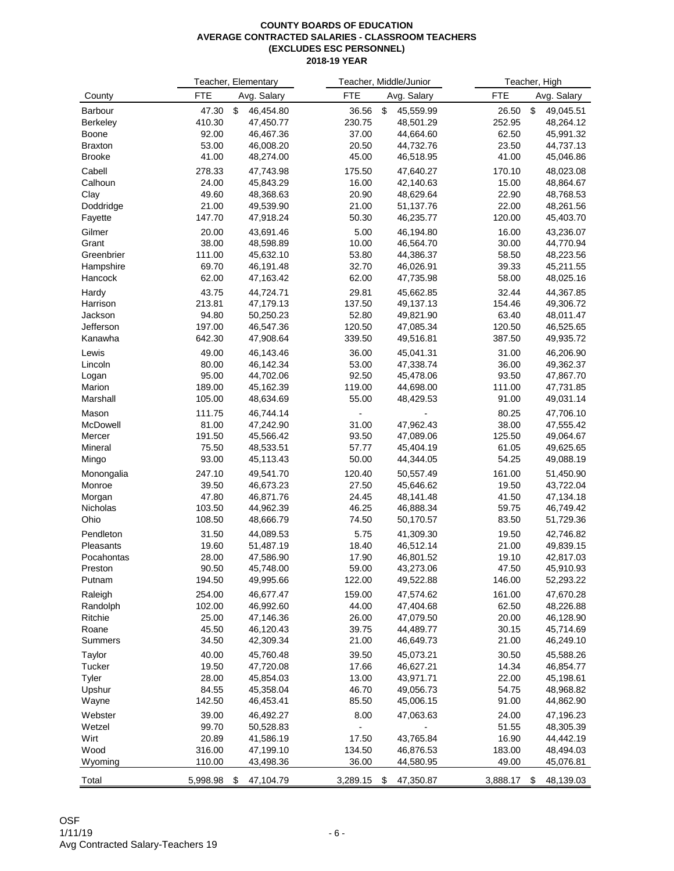|                  |                | Teacher, Elementary    | Teacher, Middle/Junior |                 |                | Teacher, High          |
|------------------|----------------|------------------------|------------------------|-----------------|----------------|------------------------|
| County           | <b>FTE</b>     | Avg. Salary            | <b>FTE</b>             | Avg. Salary     | <b>FTE</b>     | Avg. Salary            |
| Barbour          | 47.30          | \$<br>46,454.80        | 36.56                  | \$<br>45,559.99 | 26.50          | \$<br>49,045.51        |
| <b>Berkeley</b>  | 410.30         | 47,450.77              | 230.75                 | 48,501.29       | 252.95         | 48,264.12              |
| Boone            | 92.00          | 46,467.36              | 37.00                  | 44,664.60       | 62.50          | 45,991.32              |
| <b>Braxton</b>   | 53.00          | 46,008.20              | 20.50                  | 44,732.76       | 23.50          | 44,737.13              |
| <b>Brooke</b>    | 41.00          | 48,274.00              | 45.00                  | 46,518.95       | 41.00          | 45,046.86              |
| Cabell           | 278.33         | 47,743.98              | 175.50                 | 47,640.27       | 170.10         | 48,023.08              |
| Calhoun          | 24.00          | 45,843.29              | 16.00                  | 42,140.63       | 15.00          | 48,864.67              |
| Clay             | 49.60          | 48,368.63              | 20.90                  | 48,629.64       | 22.90          | 48,768.53              |
| Doddridge        | 21.00          | 49,539.90              | 21.00                  | 51,137.76       | 22.00          | 48,261.56              |
| Fayette          | 147.70         | 47,918.24              | 50.30                  | 46,235.77       | 120.00         | 45,403.70              |
| Gilmer           | 20.00          | 43,691.46              | 5.00                   | 46,194.80       | 16.00          | 43,236.07              |
| Grant            | 38.00          | 48,598.89              | 10.00                  | 46,564.70       | 30.00          | 44,770.94              |
| Greenbrier       | 111.00         | 45,632.10              | 53.80                  | 44,386.37       | 58.50          | 48,223.56              |
| Hampshire        | 69.70          | 46,191.48              | 32.70                  | 46,026.91       | 39.33          | 45,211.55              |
| Hancock          | 62.00          | 47,163.42              | 62.00                  | 47,735.98       | 58.00          | 48,025.16              |
| Hardy            | 43.75          | 44,724.71              | 29.81                  | 45,662.85       | 32.44          | 44,367.85              |
| Harrison         | 213.81         | 47,179.13              | 137.50                 | 49,137.13       | 154.46         | 49,306.72              |
| Jackson          | 94.80          | 50,250.23              | 52.80                  | 49,821.90       | 63.40          | 48,011.47              |
| Jefferson        | 197.00         | 46,547.36              | 120.50                 | 47,085.34       | 120.50         | 46,525.65              |
| Kanawha          | 642.30         | 47,908.64              | 339.50                 | 49,516.81       | 387.50         | 49,935.72              |
|                  |                |                        |                        | 45,041.31       |                |                        |
| Lewis<br>Lincoln | 49.00<br>80.00 | 46,143.46<br>46,142.34 | 36.00<br>53.00         | 47,338.74       | 31.00<br>36.00 | 46,206.90<br>49,362.37 |
|                  | 95.00          | 44,702.06              | 92.50                  | 45,478.06       | 93.50          | 47,867.70              |
| Logan<br>Marion  | 189.00         | 45,162.39              | 119.00                 | 44,698.00       | 111.00         | 47,731.85              |
| Marshall         | 105.00         | 48,634.69              | 55.00                  | 48,429.53       | 91.00          | 49,031.14              |
|                  |                |                        |                        |                 |                |                        |
| Mason            | 111.75         | 46,744.14              |                        |                 | 80.25          | 47,706.10              |
| McDowell         | 81.00          | 47,242.90              | 31.00                  | 47,962.43       | 38.00          | 47,555.42              |
| Mercer           | 191.50         | 45,566.42              | 93.50                  | 47,089.06       | 125.50         | 49,064.67              |
| Mineral          | 75.50          | 48,533.51              | 57.77                  | 45,404.19       | 61.05          | 49,625.65              |
| Mingo            | 93.00          | 45,113.43              | 50.00                  | 44,344.05       | 54.25          | 49,088.19              |
| Monongalia       | 247.10         | 49,541.70              | 120.40                 | 50,557.49       | 161.00         | 51,450.90              |
| Monroe           | 39.50          | 46,673.23              | 27.50                  | 45,646.62       | 19.50          | 43,722.04              |
| Morgan           | 47.80          | 46,871.76              | 24.45                  | 48,141.48       | 41.50          | 47,134.18              |
| Nicholas         | 103.50         | 44,962.39              | 46.25                  | 46,888.34       | 59.75          | 46,749.42              |
| Ohio             | 108.50         | 48,666.79              | 74.50                  | 50,170.57       | 83.50          | 51,729.36              |
| Pendleton        | 31.50          | 44,089.53              | 5.75                   | 41,309.30       | 19.50          | 42,746.82              |
| Pleasants        | 19.60          | 51,487.19              | 18.40                  | 46,512.14       | 21.00          | 49,839.15              |
| Pocahontas       | 28.00          | 47,586.90              | 17.90                  | 46,801.52       | 19.10          | 42,817.03              |
| Preston          | 90.50          | 45,748.00              | 59.00                  | 43,273.06       | 47.50          | 45,910.93              |
| Putnam           | 194.50         | 49,995.66              | 122.00                 | 49,522.88       | 146.00         | 52,293.22              |
| Raleigh          | 254.00         | 46,677.47              | 159.00                 | 47,574.62       | 161.00         | 47,670.28              |
| Randolph         | 102.00         | 46,992.60              | 44.00                  | 47,404.68       | 62.50          | 48,226.88              |
| Ritchie          | 25.00          | 47,146.36              | 26.00                  | 47,079.50       | 20.00          | 46,128.90              |
| Roane            | 45.50          | 46,120.43              | 39.75                  | 44,489.77       | 30.15          | 45,714.69              |
| Summers          | 34.50          | 42,309.34              | 21.00                  | 46,649.73       | 21.00          | 46,249.10              |
| Taylor           | 40.00          | 45,760.48              | 39.50                  | 45,073.21       | 30.50          | 45,588.26              |
| Tucker           | 19.50          | 47,720.08              | 17.66                  | 46,627.21       | 14.34          | 46,854.77              |
| Tyler            | 28.00          | 45,854.03              | 13.00                  | 43,971.71       | 22.00          | 45,198.61              |
| Upshur           | 84.55          | 45,358.04              | 46.70                  | 49,056.73       | 54.75          | 48,968.82              |
| Wayne            | 142.50         | 46,453.41              | 85.50                  | 45,006.15       | 91.00          | 44,862.90              |
| Webster          | 39.00          | 46,492.27              | 8.00                   | 47,063.63       | 24.00          | 47,196.23              |
| Wetzel           | 99.70          | 50,528.83              |                        |                 | 51.55          | 48,305.39              |
| Wirt             | 20.89          | 41,586.19              | 17.50                  | 43,765.84       | 16.90          | 44,442.19              |
| Wood             | 316.00         | 47,199.10              | 134.50                 | 46,876.53       | 183.00         | 48,494.03              |
| Wyoming          | 110.00         | 43,498.36              | 36.00                  | 44,580.95       | 49.00          | 45,076.81              |
|                  |                |                        |                        |                 |                |                        |
| Total            | 5,998.98 \$    | 47,104.79              | 3,289.15 \$            | 47,350.87       | 3,888.17 \$    | 48,139.03              |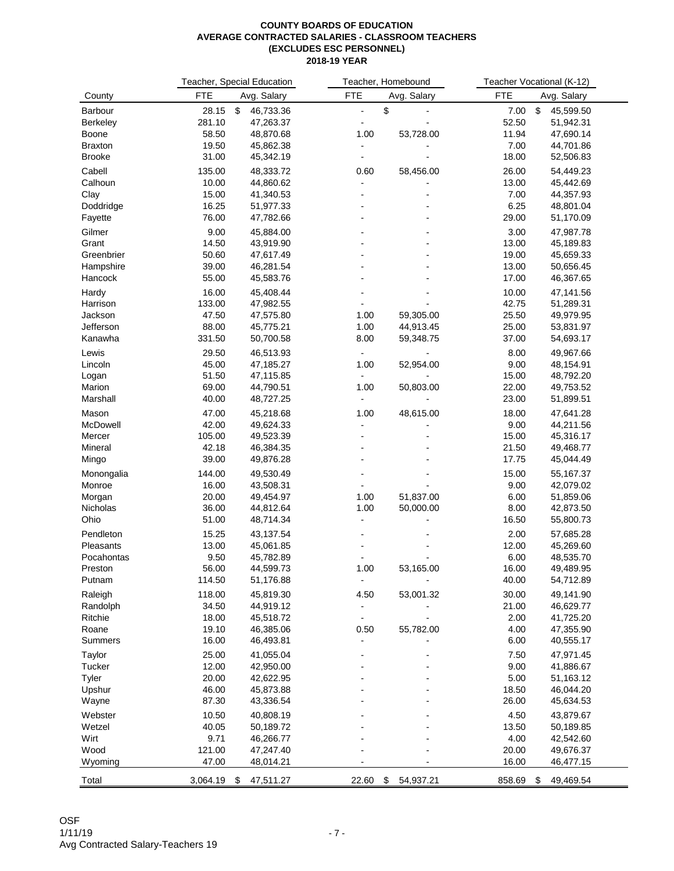|                |                | Teacher, Special Education |                          | Teacher, Homebound   |              | Teacher Vocational (K-12) |
|----------------|----------------|----------------------------|--------------------------|----------------------|--------------|---------------------------|
| County         | <b>FTE</b>     | Avg. Salary                | <b>FTE</b>               | Avg. Salary          | <b>FTE</b>   | Avg. Salary               |
| Barbour        | 28.15 \$       | 46,733.36                  | $\overline{a}$           | \$<br>$\overline{a}$ | 7.00         | \$<br>45,599.50           |
| Berkeley       | 281.10         | 47,263.37                  |                          |                      | 52.50        | 51,942.31                 |
| Boone          | 58.50          | 48,870.68                  | 1.00                     | 53,728.00            | 11.94        | 47,690.14                 |
| <b>Braxton</b> | 19.50          | 45,862.38                  |                          |                      | 7.00         | 44,701.86                 |
| <b>Brooke</b>  | 31.00          | 45,342.19                  |                          |                      | 18.00        | 52,506.83                 |
| Cabell         | 135.00         | 48,333.72                  | 0.60                     | 58,456.00            | 26.00        | 54,449.23                 |
| Calhoun        | 10.00          | 44,860.62                  | $\blacksquare$           |                      | 13.00        | 45,442.69                 |
| Clay           | 15.00          | 41,340.53                  | ÷,                       |                      | 7.00         | 44,357.93                 |
| Doddridge      | 16.25          | 51,977.33                  |                          |                      | 6.25         | 48,801.04                 |
| Fayette        | 76.00          | 47,782.66                  |                          |                      | 29.00        | 51,170.09                 |
| Gilmer         | 9.00           | 45,884.00                  |                          |                      | 3.00         | 47,987.78                 |
| Grant          | 14.50          | 43,919.90                  |                          |                      | 13.00        | 45,189.83                 |
| Greenbrier     | 50.60          | 47,617.49                  |                          |                      | 19.00        | 45,659.33                 |
| Hampshire      | 39.00          | 46,281.54                  |                          |                      | 13.00        | 50,656.45                 |
| Hancock        | 55.00          | 45,583.76                  |                          |                      | 17.00        | 46,367.65                 |
| Hardy          | 16.00          | 45,408.44                  |                          |                      | 10.00        | 47,141.56                 |
| Harrison       | 133.00         | 47,982.55                  |                          |                      | 42.75        | 51,289.31                 |
| Jackson        | 47.50          | 47,575.80                  | 1.00                     | 59,305.00            | 25.50        | 49,979.95                 |
| Jefferson      | 88.00          | 45,775.21                  | 1.00                     | 44,913.45            | 25.00        | 53,831.97                 |
| Kanawha        | 331.50         | 50,700.58                  | 8.00                     | 59,348.75            | 37.00        | 54,693.17                 |
|                |                |                            |                          |                      |              |                           |
| Lewis          | 29.50          | 46,513.93                  | $\blacksquare$           |                      | 8.00         | 49,967.66                 |
| Lincoln        | 45.00          | 47,185.27                  | 1.00                     | 52,954.00            | 9.00         | 48,154.91                 |
| Logan          | 51.50          | 47,115.85                  | $\blacksquare$           |                      | 15.00        | 48,792.20                 |
| Marion         | 69.00          | 44,790.51                  | 1.00                     | 50,803.00            | 22.00        | 49,753.52                 |
| Marshall       | 40.00          | 48,727.25                  |                          |                      | 23.00        | 51,899.51                 |
| Mason          | 47.00          | 45,218.68                  | 1.00                     | 48,615.00            | 18.00        | 47,641.28                 |
| McDowell       | 42.00          | 49,624.33                  | ÷                        |                      | 9.00         | 44,211.56                 |
| Mercer         | 105.00         | 49,523.39                  |                          |                      | 15.00        | 45,316.17                 |
| Mineral        | 42.18          | 46,384.35                  |                          |                      | 21.50        | 49,468.77                 |
| Mingo          | 39.00          | 49,876.28                  |                          |                      | 17.75        | 45,044.49                 |
| Monongalia     | 144.00         | 49,530.49                  |                          |                      | 15.00        | 55,167.37                 |
| Monroe         | 16.00          | 43,508.31                  |                          |                      | 9.00         | 42,079.02                 |
| Morgan         | 20.00          | 49,454.97                  | 1.00                     | 51,837.00            | 6.00         | 51,859.06                 |
| Nicholas       | 36.00          | 44,812.64                  | 1.00                     | 50,000.00            | 8.00         | 42,873.50                 |
| Ohio           | 51.00          | 48,714.34                  | $\blacksquare$           |                      | 16.50        | 55,800.73                 |
| Pendleton      | 15.25          | 43,137.54                  |                          |                      | 2.00         | 57,685.28                 |
| Pleasants      | 13.00          | 45,061.85                  |                          |                      | 12.00        | 45,269.60                 |
| Pocahontas     | 9.50           | 45,782.89                  |                          |                      | 6.00         | 48,535.70                 |
| Preston        | 56.00          | 44,599.73                  | 1.00                     | 53,165.00            | 16.00        | 49,489.95                 |
| Putnam         | 114.50         | 51,176.88                  | $\overline{\phantom{a}}$ |                      | 40.00        | 54,712.89                 |
|                |                |                            |                          |                      |              |                           |
| Raleigh        | 118.00         | 45,819.30                  | 4.50                     | 53,001.32            | 30.00        | 49,141.90                 |
| Randolph       | 34.50          | 44,919.12                  |                          |                      | 21.00        | 46,629.77                 |
| Ritchie        | 18.00          | 45,518.72<br>46,385.06     | $\blacksquare$           |                      | 2.00<br>4.00 | 41,725.20                 |
| Roane          | 19.10<br>16.00 |                            | 0.50                     | 55,782.00            |              | 47,355.90                 |
| Summers        |                | 46,493.81                  |                          |                      | 6.00         | 40,555.17                 |
| Taylor         | 25.00          | 41,055.04                  |                          |                      | 7.50         | 47,971.45                 |
| Tucker         | 12.00          | 42,950.00                  |                          |                      | 9.00         | 41,886.67                 |
| Tyler          | 20.00          | 42,622.95                  |                          |                      | 5.00         | 51,163.12                 |
| Upshur         | 46.00          | 45,873.88                  |                          |                      | 18.50        | 46,044.20                 |
| Wayne          | 87.30          | 43,336.54                  |                          |                      | 26.00        | 45,634.53                 |
| Webster        | 10.50          | 40,808.19                  |                          |                      | 4.50         | 43,879.67                 |
| Wetzel         | 40.05          | 50,189.72                  |                          |                      | 13.50        | 50,189.85                 |
| Wirt           | 9.71           | 46,266.77                  |                          |                      | 4.00         | 42,542.60                 |
| Wood           | 121.00         | 47,247.40                  |                          |                      | 20.00        | 49,676.37                 |
| Wyoming        | 47.00          | 48,014.21                  |                          |                      | 16.00        | 46,477.15                 |
|                |                |                            |                          |                      |              |                           |
| Total          | 3,064.19       | 47,511.27<br>-\$           | 22.60                    | \$<br>54,937.21      | 858.69       | \$<br>49,469.54           |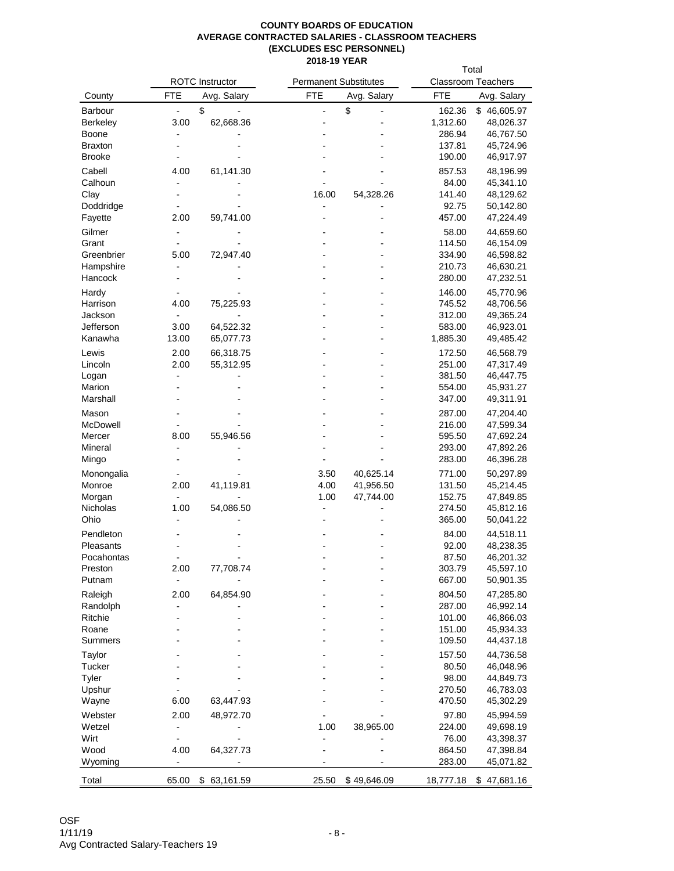|                  |                              |                        |                              |             | Total                     |                        |  |  |
|------------------|------------------------------|------------------------|------------------------------|-------------|---------------------------|------------------------|--|--|
|                  |                              | <b>ROTC</b> Instructor | <b>Permanent Substitutes</b> |             | <b>Classroom Teachers</b> |                        |  |  |
| County           | <b>FTE</b>                   | Avg. Salary            | <b>FTE</b>                   | Avg. Salary | <b>FTE</b>                | Avg. Salary            |  |  |
| Barbour          | $\overline{\phantom{a}}$     | \$                     |                              | \$          | 162.36                    | \$46,605.97            |  |  |
| Berkeley         | 3.00                         | 62,668.36              |                              |             | 1,312.60                  | 48,026.37              |  |  |
| Boone            | $\qquad \qquad \blacksquare$ |                        |                              |             | 286.94                    | 46,767.50              |  |  |
| Braxton          |                              |                        |                              |             | 137.81                    | 45,724.96              |  |  |
| <b>Brooke</b>    |                              |                        |                              |             | 190.00                    | 46,917.97              |  |  |
| Cabell           | 4.00                         | 61,141.30              |                              |             | 857.53                    | 48,196.99              |  |  |
| Calhoun          |                              |                        |                              |             | 84.00                     | 45,341.10              |  |  |
| Clay             |                              |                        | 16.00                        | 54,328.26   | 141.40                    | 48,129.62              |  |  |
| Doddridge        |                              |                        |                              |             | 92.75                     | 50,142.80              |  |  |
| Fayette          | 2.00                         | 59,741.00              |                              |             | 457.00                    | 47,224.49              |  |  |
| Gilmer           |                              |                        |                              |             | 58.00                     | 44,659.60              |  |  |
| Grant            |                              |                        |                              |             | 114.50                    | 46,154.09              |  |  |
| Greenbrier       | 5.00                         | 72,947.40              |                              |             | 334.90                    | 46,598.82              |  |  |
| Hampshire        |                              |                        |                              |             | 210.73                    | 46,630.21              |  |  |
| Hancock          |                              |                        |                              |             | 280.00                    | 47,232.51              |  |  |
| Hardy            |                              |                        |                              |             | 146.00                    | 45,770.96              |  |  |
| Harrison         | 4.00                         | 75,225.93              |                              |             | 745.52                    | 48,706.56              |  |  |
| Jackson          | $\overline{\phantom{0}}$     |                        |                              |             | 312.00                    | 49,365.24              |  |  |
| Jefferson        | 3.00                         | 64,522.32              |                              |             | 583.00                    | 46,923.01              |  |  |
| Kanawha          | 13.00                        | 65,077.73              |                              |             | 1,885.30                  | 49,485.42              |  |  |
|                  |                              |                        |                              |             |                           |                        |  |  |
| Lewis<br>Lincoln | 2.00<br>2.00                 | 66,318.75              |                              |             | 172.50<br>251.00          | 46,568.79<br>47,317.49 |  |  |
|                  |                              | 55,312.95              |                              |             | 381.50                    | 46,447.75              |  |  |
| Logan<br>Marion  |                              |                        |                              |             | 554.00                    | 45,931.27              |  |  |
| Marshall         |                              |                        |                              |             | 347.00                    | 49,311.91              |  |  |
|                  |                              |                        |                              |             |                           |                        |  |  |
| Mason            |                              |                        |                              |             | 287.00                    | 47,204.40              |  |  |
| McDowell         |                              |                        |                              |             | 216.00                    | 47,599.34              |  |  |
| Mercer           | 8.00                         | 55,946.56              |                              |             | 595.50                    | 47,692.24              |  |  |
| Mineral<br>Mingo |                              |                        |                              |             | 293.00<br>283.00          | 47,892.26<br>46,396.28 |  |  |
|                  |                              |                        |                              |             |                           |                        |  |  |
| Monongalia       |                              |                        | 3.50                         | 40,625.14   | 771.00                    | 50,297.89              |  |  |
| Monroe           | 2.00                         | 41,119.81              | 4.00                         | 41,956.50   | 131.50                    | 45,214.45              |  |  |
| Morgan           | $\qquad \qquad \blacksquare$ |                        | 1.00                         | 47,744.00   | 152.75                    | 47,849.85              |  |  |
| Nicholas<br>Ohio | 1.00                         | 54,086.50              |                              |             | 274.50                    | 45,812.16<br>50,041.22 |  |  |
|                  |                              |                        |                              |             | 365.00                    |                        |  |  |
| Pendleton        |                              |                        |                              |             | 84.00                     | 44,518.11              |  |  |
| Pleasants        |                              |                        |                              |             | 92.00                     | 48,238.35              |  |  |
| Pocahontas       |                              |                        |                              |             | 87.50                     | 46,201.32              |  |  |
| Preston          | 2.00                         | 77,708.74              |                              |             | 303.79                    | 45,597.10              |  |  |
| Putnam           |                              |                        |                              |             | 667.00                    | 50,901.35              |  |  |
| Raleigh          | 2.00                         | 64,854.90              |                              |             | 804.50                    | 47,285.80              |  |  |
| Randolph         |                              |                        |                              |             | 287.00                    | 46,992.14              |  |  |
| Ritchie          |                              |                        |                              |             | 101.00                    | 46,866.03              |  |  |
| Roane            |                              |                        |                              |             | 151.00                    | 45,934.33              |  |  |
| Summers          |                              |                        |                              |             | 109.50                    | 44,437.18              |  |  |
| Taylor           |                              |                        |                              |             | 157.50                    | 44,736.58              |  |  |
| Tucker           |                              |                        |                              |             | 80.50                     | 46,048.96              |  |  |
| Tyler            |                              |                        |                              |             | 98.00                     | 44,849.73              |  |  |
| Upshur           |                              |                        |                              |             | 270.50                    | 46,783.03              |  |  |
| Wayne            | 6.00                         | 63,447.93              |                              |             | 470.50                    | 45,302.29              |  |  |
| Webster          | 2.00                         | 48,972.70              |                              |             | 97.80                     | 45,994.59              |  |  |
| Wetzel           |                              |                        | 1.00                         | 38,965.00   | 224.00                    | 49,698.19              |  |  |
| Wirt             |                              |                        |                              |             | 76.00                     | 43,398.37              |  |  |
| Wood             | 4.00                         | 64,327.73              |                              |             | 864.50                    | 47,398.84              |  |  |
| Wyoming          |                              |                        |                              |             | 283.00                    | 45,071.82              |  |  |
| Total            | 65.00                        | 63,161.59<br>\$        | 25.50                        | \$49,646.09 | 18,777.18                 | \$47,681.16            |  |  |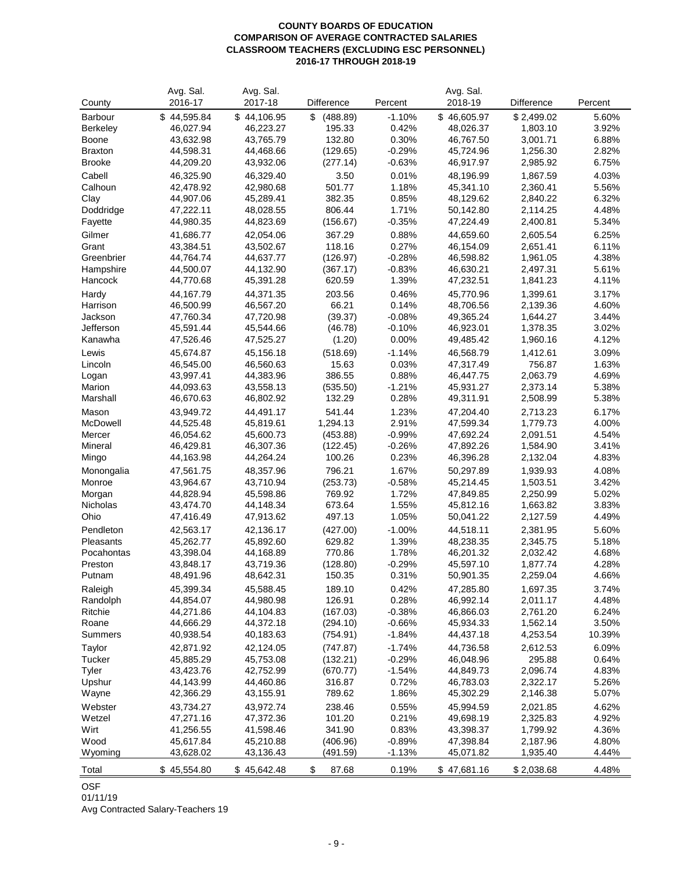#### **COUNTY BOARDS OF EDUCATION COMPARISON OF AVERAGE CONTRACTED SALARIES CLASSROOM TEACHERS (EXCLUDING ESC PERSONNEL) 2016-17 THROUGH 2018-19**

|                | Avg. Sal.              | Avg. Sal.              |                    |                      | Avg. Sal.              |                      |                |
|----------------|------------------------|------------------------|--------------------|----------------------|------------------------|----------------------|----------------|
| County         | 2016-17                | 2017-18                | Difference         | Percent              | 2018-19                | Difference           | Percent        |
| Barbour        | \$44,595.84            | \$44,106.95            | (488.89)<br>\$     | $-1.10%$             | \$46,605.97            | \$2,499.02           | 5.60%          |
| Berkeley       | 46,027.94              | 46,223.27              | 195.33             | 0.42%                | 48,026.37              | 1,803.10             | 3.92%          |
| Boone          | 43,632.98              | 43,765.79              | 132.80             | 0.30%                | 46,767.50              | 3,001.71             | 6.88%          |
| <b>Braxton</b> | 44,598.31              | 44,468.66              | (129.65)           | $-0.29%$             | 45,724.96              | 1,256.30             | 2.82%          |
| <b>Brooke</b>  | 44,209.20              | 43,932.06              | (277.14)           | $-0.63%$             | 46,917.97              | 2,985.92             | 6.75%          |
| Cabell         | 46,325.90              | 46,329.40              | 3.50               | 0.01%                | 48,196.99              | 1,867.59             | 4.03%          |
| Calhoun        | 42,478.92              | 42,980.68              | 501.77             | 1.18%                | 45,341.10              | 2,360.41             | 5.56%          |
| Clay           | 44,907.06              | 45,289.41              | 382.35             | 0.85%                | 48,129.62              | 2,840.22             | 6.32%          |
| Doddridge      | 47,222.11              | 48,028.55              | 806.44             | 1.71%                | 50,142.80              | 2,114.25             | 4.48%          |
| Fayette        | 44,980.35              | 44,823.69              | (156.67)           | $-0.35%$             | 47,224.49              | 2,400.81             | 5.34%          |
| Gilmer         | 41,686.77              | 42,054.06              | 367.29             | 0.88%                | 44,659.60              | 2,605.54             | 6.25%          |
| Grant          | 43,384.51              | 43,502.67              | 118.16             | 0.27%                | 46,154.09              | 2,651.41             | 6.11%          |
| Greenbrier     | 44,764.74              | 44,637.77              | (126.97)           | $-0.28%$             | 46,598.82              | 1,961.05             | 4.38%          |
| Hampshire      | 44,500.07              | 44,132.90              | (367.17)           | $-0.83%$             | 46,630.21              | 2,497.31             | 5.61%          |
| Hancock        | 44,770.68              | 45,391.28              | 620.59             | 1.39%                | 47,232.51              | 1,841.23             | 4.11%          |
| Hardy          | 44,167.79              | 44,371.35              | 203.56             | 0.46%                | 45,770.96              | 1,399.61             | 3.17%          |
| Harrison       | 46,500.99              | 46,567.20              | 66.21              | 0.14%                | 48,706.56              | 2,139.36             | 4.60%          |
| Jackson        | 47,760.34              | 47,720.98              | (39.37)            | $-0.08%$             | 49,365.24              | 1,644.27             | 3.44%          |
| Jefferson      | 45,591.44              | 45,544.66              | (46.78)            | $-0.10%$             | 46,923.01              | 1,378.35             | 3.02%          |
| Kanawha        | 47,526.46              | 47,525.27              | (1.20)             | 0.00%                | 49,485.42              | 1,960.16             | 4.12%          |
| Lewis          | 45,674.87              | 45,156.18              | (518.69)           | $-1.14%$             | 46,568.79              | 1,412.61             | 3.09%          |
| Lincoln        | 46,545.00              | 46,560.63              | 15.63              | 0.03%                | 47,317.49              | 756.87               | 1.63%          |
| Logan          | 43,997.41              | 44,383.96              | 386.55             | 0.88%                | 46,447.75              | 2,063.79             | 4.69%          |
| Marion         | 44,093.63              | 43,558.13              | (535.50)           | $-1.21%$             | 45,931.27              | 2,373.14             | 5.38%          |
| Marshall       | 46,670.63              | 46,802.92              | 132.29             | 0.28%                | 49,311.91              | 2,508.99             | 5.38%          |
| Mason          | 43,949.72              | 44,491.17              | 541.44             | 1.23%                | 47,204.40              | 2,713.23             | 6.17%          |
| McDowell       | 44,525.48              | 45,819.61              | 1,294.13           | 2.91%                | 47,599.34              | 1,779.73             | 4.00%          |
| Mercer         | 46,054.62              | 45,600.73              | (453.88)           | $-0.99%$             | 47,692.24              | 2,091.51             | 4.54%          |
| Mineral        | 46,429.81              | 46,307.36              | (122.45)           | $-0.26%$             | 47,892.26              | 1,584.90             | 3.41%          |
| Mingo          | 44,163.98              | 44,264.24              | 100.26             | 0.23%                | 46,396.28              | 2,132.04             | 4.83%          |
| Monongalia     | 47,561.75              | 48,357.96              | 796.21             | 1.67%                | 50,297.89              | 1,939.93             | 4.08%          |
| Monroe         | 43,964.67              | 43,710.94              | (253.73)           | $-0.58%$             | 45,214.45              | 1,503.51             | 3.42%          |
| Morgan         | 44,828.94              | 45,598.86              | 769.92             | 1.72%                | 47,849.85              | 2,250.99             | 5.02%          |
| Nicholas       | 43,474.70              | 44,148.34              | 673.64             | 1.55%                | 45,812.16              | 1,663.82             | 3.83%          |
| Ohio           | 47,416.49              | 47,913.62              | 497.13             | 1.05%                | 50,041.22              | 2,127.59             | 4.49%          |
| Pendleton      | 42,563.17              | 42,136.17              | (427.00)           | $-1.00%$             | 44,518.11              | 2,381.95             | 5.60%          |
| Pleasants      | 45,262.77              | 45,892.60              | 629.82             | 1.39%                | 48,238.35              | 2,345.75             | 5.18%          |
| Pocahontas     | 43,398.04              | 44,168.89              | 770.86             | 1.78%                | 46,201.32              | 2,032.42             | 4.68%          |
| Preston        | 43,848.17              | 43,719.36              | (128.80)           | $-0.29%$             | 45,597.10              | 1,877.74             | 4.28%          |
| Putnam         | 48,491.96              | 48,642.31              | 150.35             | 0.31%                | 50,901.35              | 2,259.04             | 4.66%          |
| Raleigh        | 45,399.34              | 45,588.45              | 189.10             | 0.42%                | 47,285.80              | 1,697.35             | 3.74%          |
| Randolph       | 44,854.07              | 44,980.98              | 126.91             | 0.28%                | 46,992.14              | 2,011.17             | 4.48%          |
| Ritchie        | 44,271.86              | 44,104.83              | (167.03)           | $-0.38%$             | 46,866.03              | 2,761.20             | 6.24%          |
| Roane          | 44,666.29              | 44,372.18              | (294.10)           | $-0.66%$             | 45,934.33              | 1,562.14             | 3.50%          |
| Summers        | 40,938.54              | 40,183.63              | (754.91)           | $-1.84%$             | 44,437.18              | 4,253.54             | 10.39%         |
| Taylor         | 42,871.92              | 42,124.05              | (747.87)           |                      |                        | 2,612.53             | 6.09%          |
| Tucker         | 45,885.29              | 45,753.08              | (132.21)           | $-1.74%$<br>$-0.29%$ | 44,736.58<br>46,048.96 | 295.88               | 0.64%          |
| Tyler          | 43,423.76              | 42,752.99              | (670.77)           | $-1.54%$             | 44,849.73              |                      | 4.83%          |
| Upshur         | 44,143.99              | 44,460.86              | 316.87             | 0.72%                | 46,783.03              | 2,096.74<br>2,322.17 | 5.26%          |
| Wayne          | 42,366.29              | 43,155.91              | 789.62             | 1.86%                | 45,302.29              | 2,146.38             | 5.07%          |
|                |                        |                        |                    |                      |                        |                      |                |
| Webster        | 43,734.27              | 43,972.74              | 238.46             | 0.55%                | 45,994.59              | 2,021.85             | 4.62%          |
| Wetzel         | 47,271.16              | 47,372.36              | 101.20             | 0.21%                | 49,698.19              | 2,325.83             | 4.92%          |
| Wirt<br>Wood   | 41,256.55<br>45,617.84 | 41,598.46<br>45,210.88 | 341.90<br>(406.96) | 0.83%<br>$-0.89%$    | 43,398.37<br>47,398.84 | 1,799.92<br>2,187.96 | 4.36%<br>4.80% |
| Wyoming        | 43,628.02              | 43,136.43              | (491.59)           | $-1.13%$             | 45,071.82              | 1,935.40             | 4.44%          |
|                |                        |                        |                    |                      |                        |                      |                |
| Total          | \$45,554.80            | \$45,642.48            | \$<br>87.68        | 0.19%                | \$47,681.16            | \$2,038.68           | 4.48%          |

## OSF

01/11/19

Avg Contracted Salary-Teachers 19